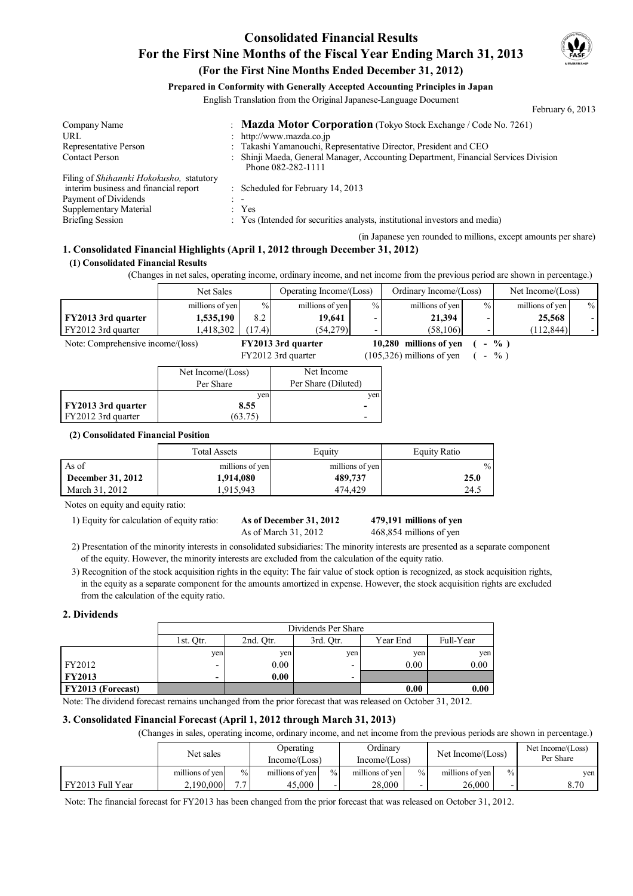## **Consolidated Financial Results For the First Nine Months of the Fiscal Year Ending March 31, 2013**



February 6, 2013

### **(For the First Nine Months Ended December 31, 2012)**

### **Prepared in Conformity with Generally Accepted Accounting Principles in Japan**

English Translation from the Original Japanese-Language Document

Company Name : **Mazda Motor Corporation** (Tokyo Stock Exchange / Code No. 7261)<br>URL : http://www.mazda.co.ip URL the state of the state of the state of the state of the state of the state of the state of the state of the state of the state of the state of the state of the state of the state of the state of the state of the state Representative Person : Takashi Yamanouchi, Representative Director, President and CEO Contact Person : Shinji Maeda, General Manager, Accounting Department, Financial Services Division Phone 082-282-1111 Filing of *Shihannki Hokokusho,* statutory interim business and financial report : Scheduled for February 14, 2013 Payment of Dividends : -Supplementary Material : Yes Briefing Session : Yes (Intended for securities analysts, institutional investors and media)

(in Japanese yen rounded to millions, except amounts per share)

### **1. Consolidated Financial Highlights (April 1, 2012 through December 31, 2012)**

#### **(1) Consolidated Financial Results**

(Changes in net sales, operating income, ordinary income, and net income from the previous period are shown in percentage.)

|                                   | Net Sales       |        | Operating Income/(Loss) |        | Ordinary Income/(Loss) |                          | Net Income/(Loss) |               |
|-----------------------------------|-----------------|--------|-------------------------|--------|------------------------|--------------------------|-------------------|---------------|
|                                   | millions of yen | $\%$   | millions of yen         | $\%$ . | millions of yen        | $\%$                     | millions of yen   | $\frac{0}{6}$ |
| <b>FY2013 3rd quarter</b>         | 1,535,190       | 8.2    | 19.641                  |        | 21,394                 | $\overline{\phantom{0}}$ | 25,568            |               |
| FY2012 3rd quarter                | .418.302        | (17.4) | (54,279)                |        | (58.106)               | $\overline{\phantom{0}}$ | (112.844)         |               |
| Note: Comprehensive income/(loss) |                 |        | FY2013 3rd quarter      |        | 10,280 millions of yen |                          | $\frac{6}{10}$    |               |

|                    | FY2012 3rd quarter |                     |                          | $(105,326)$ millions of yen | $\%$ |  |
|--------------------|--------------------|---------------------|--------------------------|-----------------------------|------|--|
|                    | Net Income/(Loss)  | Net Income          |                          |                             |      |  |
|                    | Per Share          | Per Share (Diluted) |                          |                             |      |  |
|                    | ven                |                     | ven                      |                             |      |  |
| FY2013 3rd quarter | 8.55               |                     | $\blacksquare$           |                             |      |  |
| FY2012 3rd quarter | (63.75)            |                     | $\overline{\phantom{0}}$ |                             |      |  |

#### **(2) Consolidated Financial Position**

|                          | <b>Total Assets</b> | Equity          | <b>Equity Ratio</b> |  |
|--------------------------|---------------------|-----------------|---------------------|--|
| As of                    | millions of yen     | millions of yen | $\frac{0}{0}$       |  |
| <b>December 31, 2012</b> | 1,914,080           | 489,737         | 25.0                |  |
| March 31, 2012           | .915.943            | 474.429         | 24.5                |  |

Notes on equity and equity ratio:

1) Equity for calculation of equity ratio: **As of December 31, 2012** 

As of March 31, 2012 468,854 millions of yen

**479,191**

- 2) Presentation of the minority interests in consolidated subsidiaries: The minority interests are presented as a separate component of the equity. However, the minority interests are excluded from the calculation of the equity ratio.
- 3) Recognition of the stock acquisition rights in the equity: The fair value of stock option is recognized, as stock acquisition rights, in the equity as a separate component for the amounts amortized in expense. However, the stock acquisition rights are excluded from the calculation of the equity ratio.

#### **2. Dividends**

|                          | Dividends Per Share      |           |                          |          |           |  |
|--------------------------|--------------------------|-----------|--------------------------|----------|-----------|--|
|                          | l st. Otr.               | 2nd. Otr. | 3rd. Otr.                | Year End | Full-Year |  |
|                          | ven                      | ven       | ven                      | ven      | yen       |  |
| FY2012                   | $\overline{\phantom{0}}$ | 0.00      |                          | 0.00     | 0.00      |  |
| <b>FY2013</b>            | -                        | 0.00      | $\overline{\phantom{0}}$ |          |           |  |
| <b>FY2013 (Forecast)</b> |                          |           |                          | 0.00     | 0.00      |  |

Note: The dividend forecast remains unchanged from the prior forecast that was released on October 31, 2012.

#### **3. Consolidated Financial Forecast (April 1, 2012 through March 31, 2013)**

(Changes in sales, operating income, ordinary income, and net income from the previous periods are shown in percentage.)

|                  | Net sales       |               | Operating<br>Income/(Loss) |               | Ordinary<br>Income/(Loss) |                          | Net Income/(Loss) |               | Net Income/(Loss)<br>Per Share |
|------------------|-----------------|---------------|----------------------------|---------------|---------------------------|--------------------------|-------------------|---------------|--------------------------------|
|                  | millions of yen | $\frac{0}{0}$ | millions of yen            | $\frac{0}{0}$ | millions of yen           | $\frac{0}{0}$            | millions of yen   | $\frac{0}{0}$ | yen                            |
| FY2013 Full Year | 2.190.000       | ה ה           | 45.000                     |               | 28,000                    | $\overline{\phantom{0}}$ | 26.000            |               | 8.70                           |

Note: The financial forecast for FY2013 has been changed from the prior forecast that was released on October 31, 2012.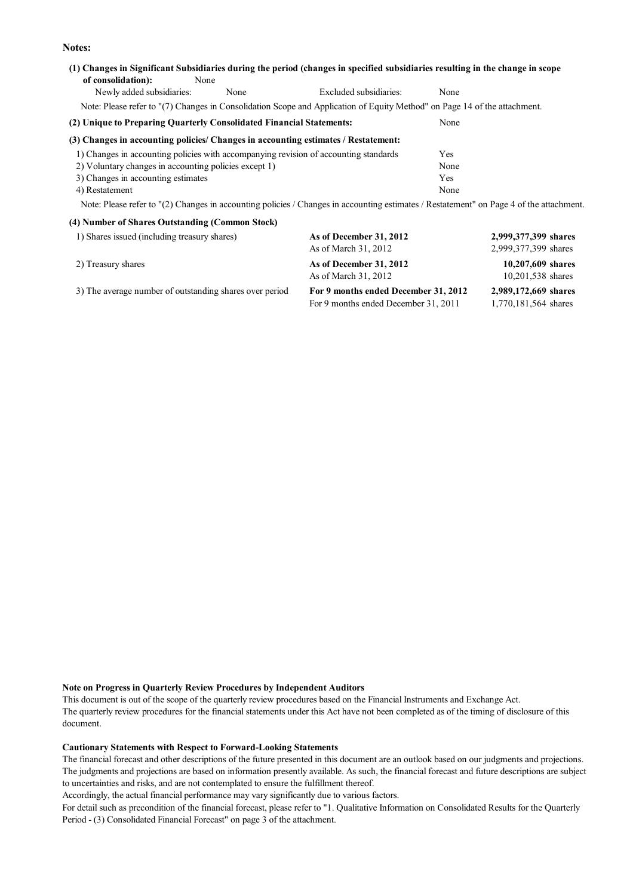**Notes:**

### **(1) Changes in Significant Subsidiaries during the period (changes in specified subsidiaries resulting in the change in scope of consolidation):** None Newly added subsidiaries: None Excluded subsidiaries: None Note: Please refer to "(7) Changes in Consolidation Scope and Application of Equity Method" on Page 14 of the attachment.

## **(2) Unique to Preparing Quarterly Consolidated Financial Statements:** None

#### **(3) Changes in accounting policies/ Changes in accounting estimates / Restatement:**

| 1) Changes in accounting policies with accompanying revision of accounting standards | Yes  |
|--------------------------------------------------------------------------------------|------|
| 2) Voluntary changes in accounting policies except 1)                                | None |
| 3) Changes in accounting estimates                                                   | Yes  |
| 4) Restatement                                                                       | None |

Note: Please refer to "(2) Changes in accounting policies / Changes in accounting estimates / Restatement" on Page 4 of the attachment.

| (4) Number of Shares Outstanding (Common Stock)         |                                                                              |                                              |
|---------------------------------------------------------|------------------------------------------------------------------------------|----------------------------------------------|
| 1) Shares issued (including treasury shares)            | As of December 31, 2012<br>As of March 31, 2012                              | 2,999,377,399 shares<br>2,999,377,399 shares |
| 2) Treasury shares                                      | As of December 31, 2012<br>As of March 31, 2012                              | 10,207,609 shares<br>10,201,538 shares       |
| 3) The average number of outstanding shares over period | For 9 months ended December 31, 2012<br>For 9 months ended December 31, 2011 | 2,989,172,669 shares<br>1,770,181,564 shares |

#### **Note on Progress in Quarterly Review Procedures by Independent Auditors**

This document is out of the scope of the quarterly review procedures based on the Financial Instruments and Exchange Act. The quarterly review procedures for the financial statements under this Act have not been completed as of the timing of disclosure of this document.

#### **Cautionary Statements with Respect to Forward-Looking Statements**

The financial forecast and other descriptions of the future presented in this document are an outlook based on our judgments and projections. The judgments and projections are based on information presently available. As such, the financial forecast and future descriptions are subject to uncertainties and risks, and are not contemplated to ensure the fulfillment thereof.

Accordingly, the actual financial performance may vary significantly due to various factors.

For detail such as precondition of the financial forecast, please refer to "1. Qualitative Information on Consolidated Results for the Quarterly Period - (3) Consolidated Financial Forecast" on page 3 of the attachment.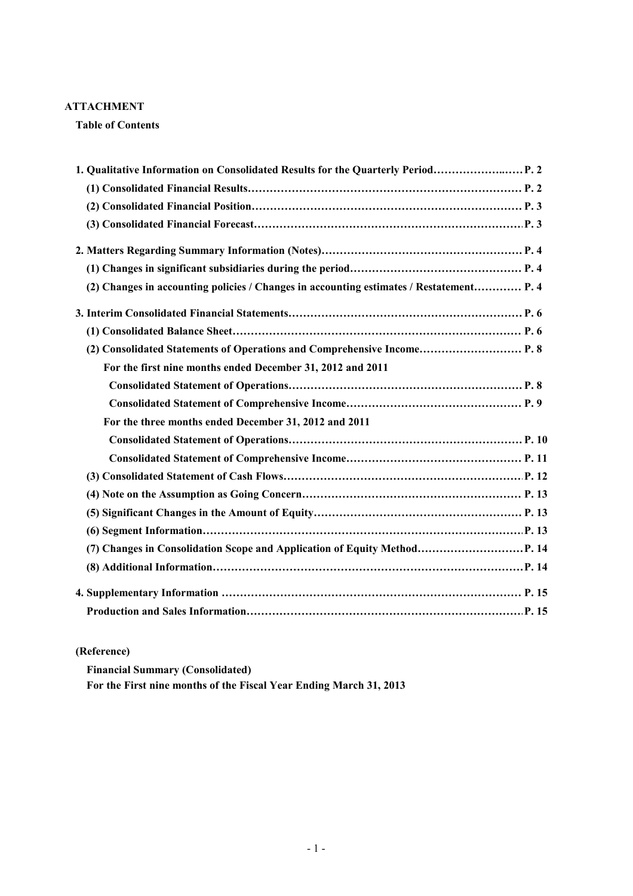### **ATTACHMENT**

**Table of Contents**

| 1. Qualitative Information on Consolidated Results for the Quarterly Period             |  |
|-----------------------------------------------------------------------------------------|--|
|                                                                                         |  |
|                                                                                         |  |
|                                                                                         |  |
|                                                                                         |  |
|                                                                                         |  |
| (2) Changes in accounting policies / Changes in accounting estimates / Restatement P. 4 |  |
|                                                                                         |  |
|                                                                                         |  |
| (2) Consolidated Statements of Operations and Comprehensive Income P. 8                 |  |
| For the first nine months ended December 31, 2012 and 2011                              |  |
|                                                                                         |  |
|                                                                                         |  |
| For the three months ended December 31, 2012 and 2011                                   |  |
|                                                                                         |  |
|                                                                                         |  |
|                                                                                         |  |
|                                                                                         |  |
|                                                                                         |  |
|                                                                                         |  |
| (7) Changes in Consolidation Scope and Application of Equity Method P. 14               |  |
|                                                                                         |  |
|                                                                                         |  |
|                                                                                         |  |

### **(Reference)**

**Financial Summary (Consolidated) For the First nine months of the Fiscal Year Ending March 31, 2013**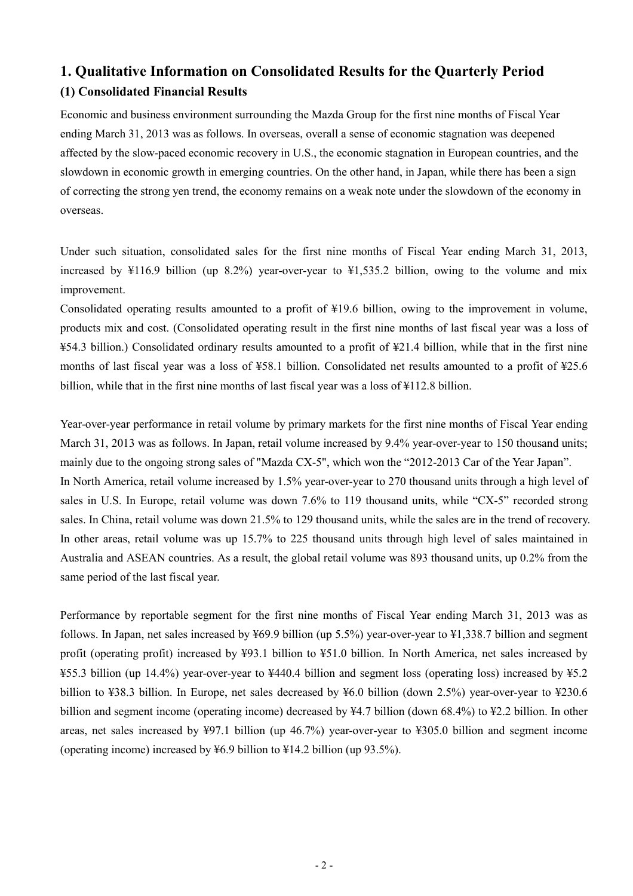## **1. Qualitative Information on Consolidated Results for the Quarterly Period (1) Consolidated Financial Results**

Economic and business environment surrounding the Mazda Group for the first nine months of Fiscal Year ending March 31, 2013 was as follows. In overseas, overall a sense of economic stagnation was deepened affected by the slow-paced economic recovery in U.S., the economic stagnation in European countries, and the slowdown in economic growth in emerging countries. On the other hand, in Japan, while there has been a sign of correcting the strong yen trend, the economy remains on a weak note under the slowdown of the economy in overseas.

Under such situation, consolidated sales for the first nine months of Fiscal Year ending March 31, 2013, increased by ¥116.9 billion (up 8.2%) year-over-year to ¥1,535.2 billion, owing to the volume and mix improvement.

Consolidated operating results amounted to a profit of ¥19.6 billion, owing to the improvement in volume, products mix and cost. (Consolidated operating result in the first nine months of last fiscal year was a loss of ¥54.3 billion.) Consolidated ordinary results amounted to a profit of ¥21.4 billion, while that in the first nine months of last fiscal year was a loss of ¥58.1 billion. Consolidated net results amounted to a profit of ¥25.6 billion, while that in the first nine months of last fiscal year was a loss of ¥112.8 billion.

Year-over-year performance in retail volume by primary markets for the first nine months of Fiscal Year ending March 31, 2013 was as follows. In Japan, retail volume increased by 9.4% year-over-year to 150 thousand units; mainly due to the ongoing strong sales of "Mazda CX-5", which won the "2012-2013 Car of the Year Japan". In North America, retail volume increased by 1.5% year-over-year to 270 thousand units through a high level of sales in U.S. In Europe, retail volume was down 7.6% to 119 thousand units, while "CX-5" recorded strong sales. In China, retail volume was down 21.5% to 129 thousand units, while the sales are in the trend of recovery. In other areas, retail volume was up 15.7% to 225 thousand units through high level of sales maintained in Australia and ASEAN countries. As a result, the global retail volume was 893 thousand units, up 0.2% from the same period of the last fiscal year.

Performance by reportable segment for the first nine months of Fiscal Year ending March 31, 2013 was as follows. In Japan, net sales increased by ¥69.9 billion (up 5.5%) year-over-year to ¥1,338.7 billion and segment profit (operating profit) increased by ¥93.1 billion to ¥51.0 billion. In North America, net sales increased by ¥55.3 billion (up 14.4%) year-over-year to ¥440.4 billion and segment loss (operating loss) increased by ¥5.2 billion to ¥38.3 billion. In Europe, net sales decreased by ¥6.0 billion (down 2.5%) year-over-year to ¥230.6 billion and segment income (operating income) decreased by ¥4.7 billion (down 68.4%) to ¥2.2 billion. In other areas, net sales increased by ¥97.1 billion (up 46.7%) year-over-year to ¥305.0 billion and segment income (operating income) increased by ¥6.9 billion to ¥14.2 billion (up 93.5%).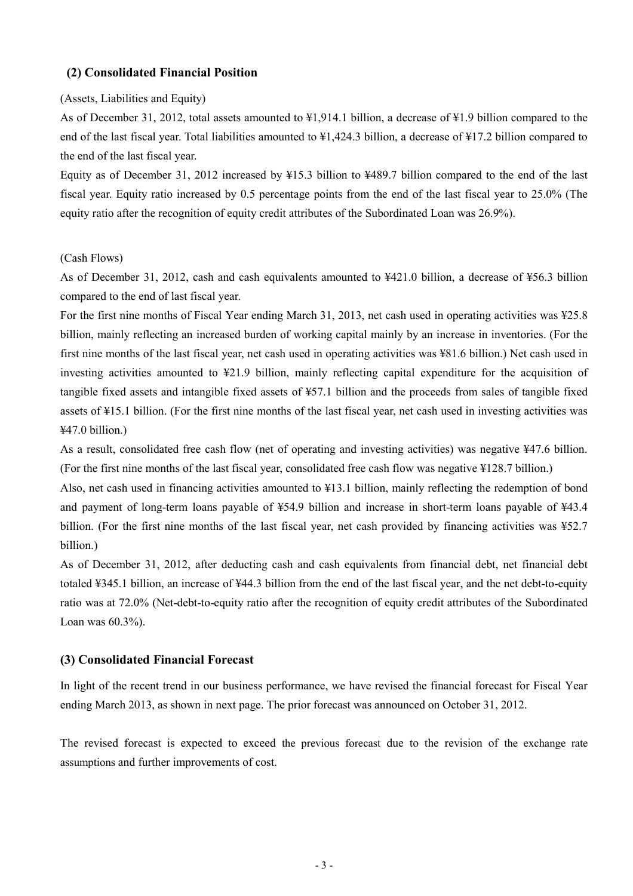### **(2) Consolidated Financial Position**

### (Assets, Liabilities and Equity)

As of December 31, 2012, total assets amounted to ¥1,914.1 billion, a decrease of ¥1.9 billion compared to the end of the last fiscal year. Total liabilities amounted to  $\frac{1}{4}1.424.3$  billion, a decrease of  $\frac{1}{4}17.2$  billion compared to the end of the last fiscal year.

Equity as of December 31, 2012 increased by ¥15.3 billion to ¥489.7 billion compared to the end of the last fiscal year. Equity ratio increased by 0.5 percentage points from the end of the last fiscal year to 25.0% (The equity ratio after the recognition of equity credit attributes of the Subordinated Loan was 26.9%).

#### (Cash Flows)

As of December 31, 2012, cash and cash equivalents amounted to ¥421.0 billion, a decrease of ¥56.3 billion compared to the end of last fiscal year.

For the first nine months of Fiscal Year ending March 31, 2013, net cash used in operating activities was ¥25.8 billion, mainly reflecting an increased burden of working capital mainly by an increase in inventories. (For the first nine months of the last fiscal year, net cash used in operating activities was ¥81.6 billion.) Net cash used in investing activities amounted to ¥21.9 billion, mainly reflecting capital expenditure for the acquisition of tangible fixed assets and intangible fixed assets of ¥57.1 billion and the proceeds from sales of tangible fixed assets of ¥15.1 billion. (For the first nine months of the last fiscal year, net cash used in investing activities was ¥47.0 billion.)

As a result, consolidated free cash flow (net of operating and investing activities) was negative ¥47.6 billion. (For the first nine months of the last fiscal year, consolidated free cash flow was negative ¥128.7 billion.)

Also, net cash used in financing activities amounted to ¥13.1 billion, mainly reflecting the redemption of bond and payment of long-term loans payable of ¥54.9 billion and increase in short-term loans payable of ¥43.4 billion. (For the first nine months of the last fiscal year, net cash provided by financing activities was ¥52.7 billion.)

As of December 31, 2012, after deducting cash and cash equivalents from financial debt, net financial debt totaled ¥345.1 billion, an increase of ¥44.3 billion from the end of the last fiscal year, and the net debt-to-equity ratio was at 72.0% (Net-debt-to-equity ratio after the recognition of equity credit attributes of the Subordinated Loan was 60.3%).

### **(3) Consolidated Financial Forecast**

In light of the recent trend in our business performance, we have revised the financial forecast for Fiscal Year ending March 2013, as shown in next page. The prior forecast was announced on October 31, 2012.

The revised forecast is expected to exceed the previous forecast due to the revision of the exchange rate assumptions and further improvements of cost.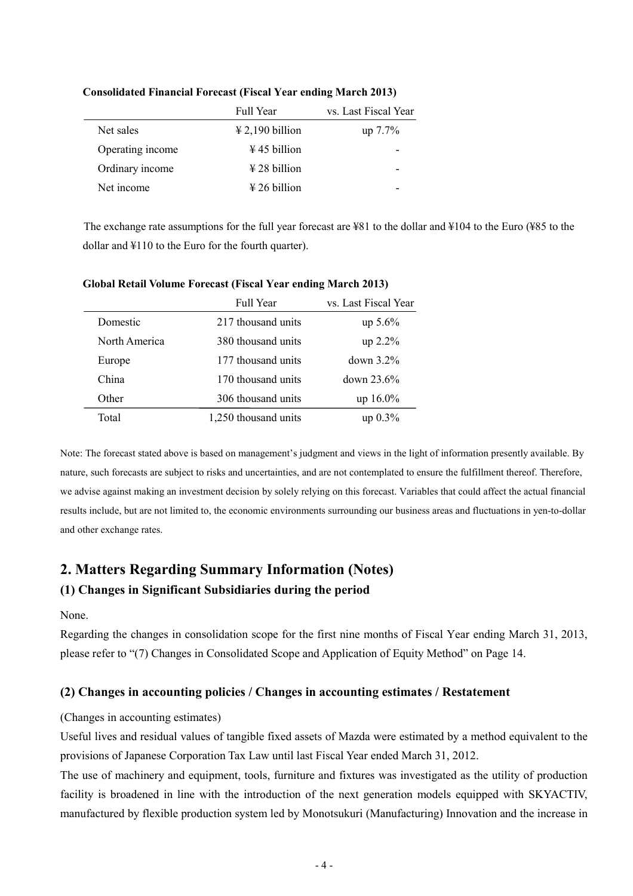|                  | <b>Full Year</b>                     | vs. Last Fiscal Year |
|------------------|--------------------------------------|----------------------|
| Net sales        | $\text{\textsterling} 2,190$ billion | $up 7.7\%$           |
| Operating income | $\frac{1}{2}$ 45 billion             |                      |
| Ordinary income  | $\frac{1}{28}$ billion               |                      |
| Net income       | $\frac{1}{2}$ 26 billion             |                      |

### **Consolidated Financial Forecast (Fiscal Year ending March 2013)**

The exchange rate assumptions for the full year forecast are ¥81 to the dollar and ¥104 to the Euro (¥85 to the dollar and ¥110 to the Euro for the fourth quarter).

|               | <b>Full Year</b>     | vs. Last Fiscal Year |
|---------------|----------------------|----------------------|
| Domestic      | 217 thousand units   | $up\ 5.6\%$          |
| North America | 380 thousand units   | up 2.2%              |
| Europe        | 177 thousand units   | down $3.2\%$         |
| China         | 170 thousand units   | down 23.6%           |
| Other         | 306 thousand units   | $up 16.0\%$          |
| Total         | 1,250 thousand units | $up\ 0.3\%$          |

#### **Global Retail Volume Forecast (Fiscal Year ending March 2013)**

Note: The forecast stated above is based on management's judgment and views in the light of information presently available. By nature, such forecasts are subject to risks and uncertainties, and are not contemplated to ensure the fulfillment thereof. Therefore, we advise against making an investment decision by solely relying on this forecast. Variables that could affect the actual financial results include, but are not limited to, the economic environments surrounding our business areas and fluctuations in yen-to-dollar and other exchange rates.

## **2. Matters Regarding Summary Information (Notes) (1) Changes in Significant Subsidiaries during the period**

None.

Regarding the changes in consolidation scope for the first nine months of Fiscal Year ending March 31, 2013, please refer to "(7) Changes in Consolidated Scope and Application of Equity Method" on Page 14.

### **(2) Changes in accounting policies / Changes in accounting estimates / Restatement**

### (Changes in accounting estimates)

Useful lives and residual values of tangible fixed assets of Mazda were estimated by a method equivalent to the provisions of Japanese Corporation Tax Law until last Fiscal Year ended March 31, 2012.

The use of machinery and equipment, tools, furniture and fixtures was investigated as the utility of production facility is broadened in line with the introduction of the next generation models equipped with SKYACTIV, manufactured by flexible production system led by Monotsukuri (Manufacturing) Innovation and the increase in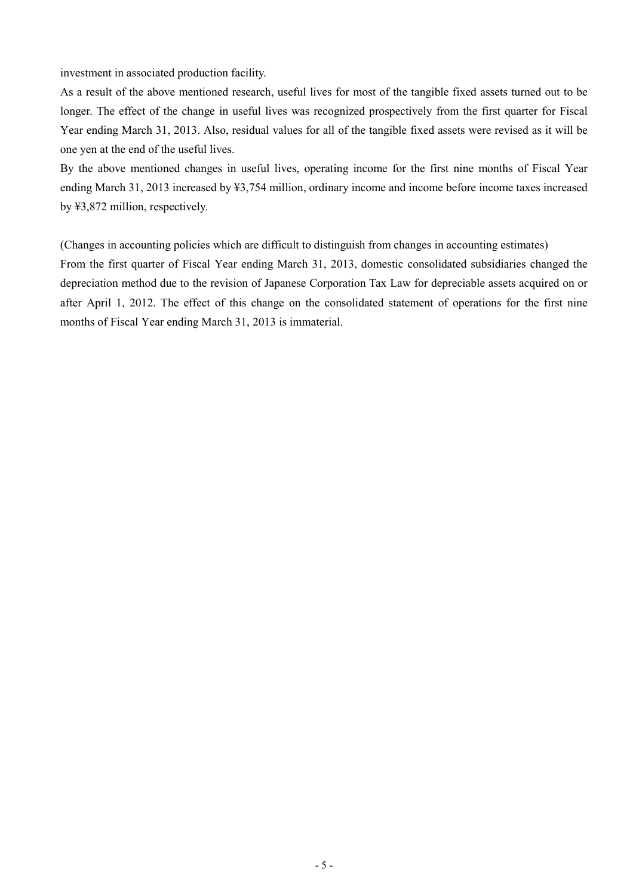investment in associated production facility.

As a result of the above mentioned research, useful lives for most of the tangible fixed assets turned out to be longer. The effect of the change in useful lives was recognized prospectively from the first quarter for Fiscal Year ending March 31, 2013. Also, residual values for all of the tangible fixed assets were revised as it will be one yen at the end of the useful lives.

By the above mentioned changes in useful lives, operating income for the first nine months of Fiscal Year ending March 31, 2013 increased by ¥3,754 million, ordinary income and income before income taxes increased by ¥3,872 million, respectively.

(Changes in accounting policies which are difficult to distinguish from changes in accounting estimates) From the first quarter of Fiscal Year ending March 31, 2013, domestic consolidated subsidiaries changed the depreciation method due to the revision of Japanese Corporation Tax Law for depreciable assets acquired on or after April 1, 2012. The effect of this change on the consolidated statement of operations for the first nine months of Fiscal Year ending March 31, 2013 is immaterial.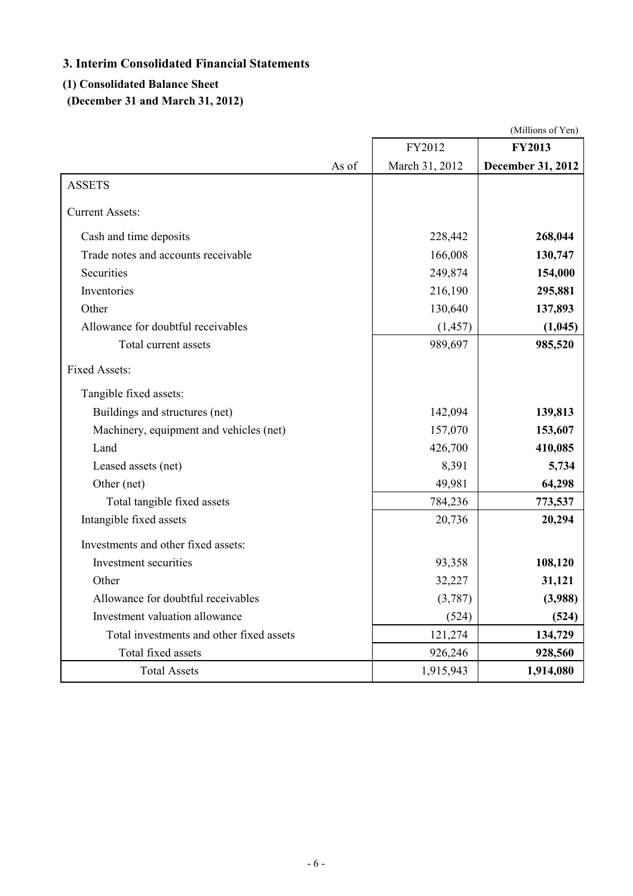## **3. Interim Consolidated Financial Statements**

### **(1) Consolidated Balance Sheet**

**(December 31 and March 31, 2012)**

|                                          |                | (Millions of Yen) |
|------------------------------------------|----------------|-------------------|
|                                          | FY2012         | <b>FY2013</b>     |
| As of                                    | March 31, 2012 | December 31, 2012 |
| <b>ASSETS</b>                            |                |                   |
| <b>Current Assets:</b>                   |                |                   |
| Cash and time deposits                   | 228,442        | 268,044           |
| Trade notes and accounts receivable      | 166,008        | 130,747           |
| Securities                               | 249,874        | 154,000           |
| Inventories                              | 216,190        | 295,881           |
| Other                                    | 130,640        | 137,893           |
| Allowance for doubtful receivables       | (1, 457)       | (1,045)           |
| Total current assets                     | 989,697        | 985,520           |
| <b>Fixed Assets:</b>                     |                |                   |
| Tangible fixed assets:                   |                |                   |
| Buildings and structures (net)           | 142,094        | 139,813           |
| Machinery, equipment and vehicles (net)  | 157,070        | 153,607           |
| Land                                     | 426,700        | 410,085           |
| Leased assets (net)                      | 8,391          | 5,734             |
| Other (net)                              | 49,981         | 64,298            |
| Total tangible fixed assets              | 784,236        | 773,537           |
| Intangible fixed assets                  | 20,736         | 20,294            |
| Investments and other fixed assets:      |                |                   |
| Investment securities                    | 93,358         | 108,120           |
| Other                                    | 32,227         | 31,121            |
| Allowance for doubtful receivables       | (3,787)        | (3,988)           |
| Investment valuation allowance           | (524)          | (524)             |
| Total investments and other fixed assets | 121,274        | 134,729           |
| Total fixed assets                       | 926,246        | 928,560           |
| <b>Total Assets</b>                      | 1,915,943      | 1,914,080         |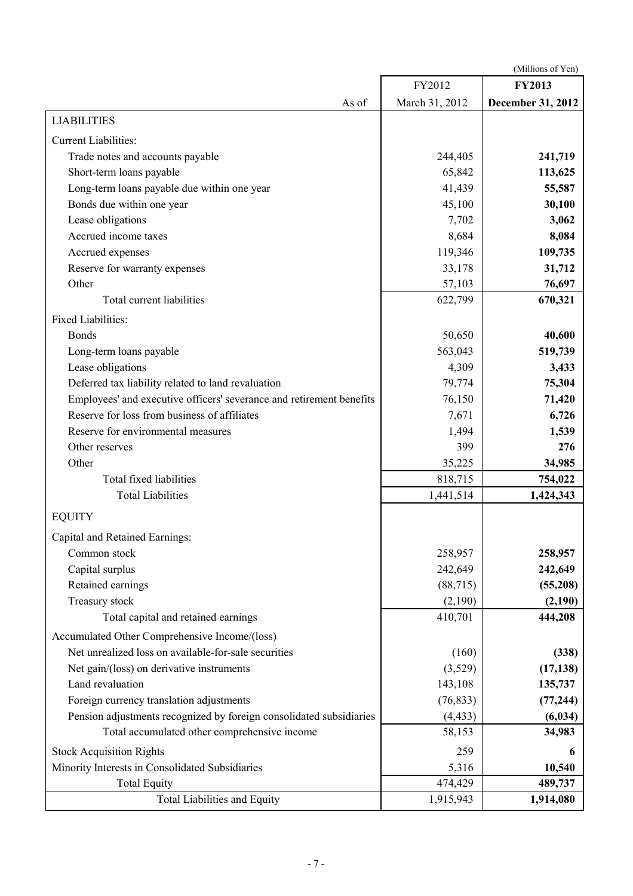(Millions of Yen)

|                                                                      | FY2012         | <b>FY2013</b>     |
|----------------------------------------------------------------------|----------------|-------------------|
| As of                                                                | March 31, 2012 | December 31, 2012 |
| <b>LIABILITIES</b>                                                   |                |                   |
| <b>Current Liabilities:</b>                                          |                |                   |
| Trade notes and accounts payable                                     | 244,405        | 241,719           |
| Short-term loans payable                                             | 65,842         | 113,625           |
| Long-term loans payable due within one year                          | 41,439         | 55,587            |
| Bonds due within one year                                            | 45,100         | 30,100            |
| Lease obligations                                                    | 7,702          | 3,062             |
| Accrued income taxes                                                 | 8,684          | 8,084             |
| Accrued expenses                                                     | 119,346        | 109,735           |
| Reserve for warranty expenses                                        | 33,178         | 31,712            |
| Other                                                                | 57,103         | 76,697            |
| Total current liabilities                                            | 622,799        | 670,321           |
| <b>Fixed Liabilities:</b>                                            |                |                   |
| <b>Bonds</b>                                                         | 50,650         | 40,600            |
| Long-term loans payable                                              | 563,043        | 519,739           |
| Lease obligations                                                    | 4,309          | 3,433             |
| Deferred tax liability related to land revaluation                   | 79,774         | 75,304            |
| Employees' and executive officers' severance and retirement benefits | 76,150         | 71,420            |
| Reserve for loss from business of affiliates                         | 7,671          | 6,726             |
| Reserve for environmental measures                                   | 1,494          | 1,539             |
| Other reserves                                                       | 399            | 276               |
| Other                                                                | 35,225         | 34,985            |
| Total fixed liabilities                                              | 818,715        | 754,022           |
| <b>Total Liabilities</b>                                             | 1,441,514      | 1,424,343         |
| <b>EQUITY</b>                                                        |                |                   |
| Capital and Retained Earnings:                                       |                |                   |
| Common stock                                                         | 258,957        | 258,957           |
| Capital surplus                                                      | 242,649        | 242,649           |
| Retained earnings                                                    | (88, 715)      | (55,208)          |
| Treasury stock                                                       | (2,190)        | (2,190)           |
| Total capital and retained earnings                                  | 410,701        | 444,208           |
| Accumulated Other Comprehensive Income/(loss)                        |                |                   |
| Net unrealized loss on available-for-sale securities                 | (160)          | (338)             |
| Net gain/(loss) on derivative instruments                            | (3,529)        | (17, 138)         |
| Land revaluation                                                     | 143,108        | 135,737           |
| Foreign currency translation adjustments                             | (76, 833)      | (77, 244)         |
| Pension adjustments recognized by foreign consolidated subsidiaries  | (4, 433)       | (6, 034)          |
| Total accumulated other comprehensive income                         | 58,153         | 34,983            |
| <b>Stock Acquisition Rights</b>                                      | 259            | 6                 |
| Minority Interests in Consolidated Subsidiaries                      | 5,316          | 10,540            |
| <b>Total Equity</b>                                                  | 474,429        | 489,737           |
| <b>Total Liabilities and Equity</b>                                  | 1,915,943      | 1,914,080         |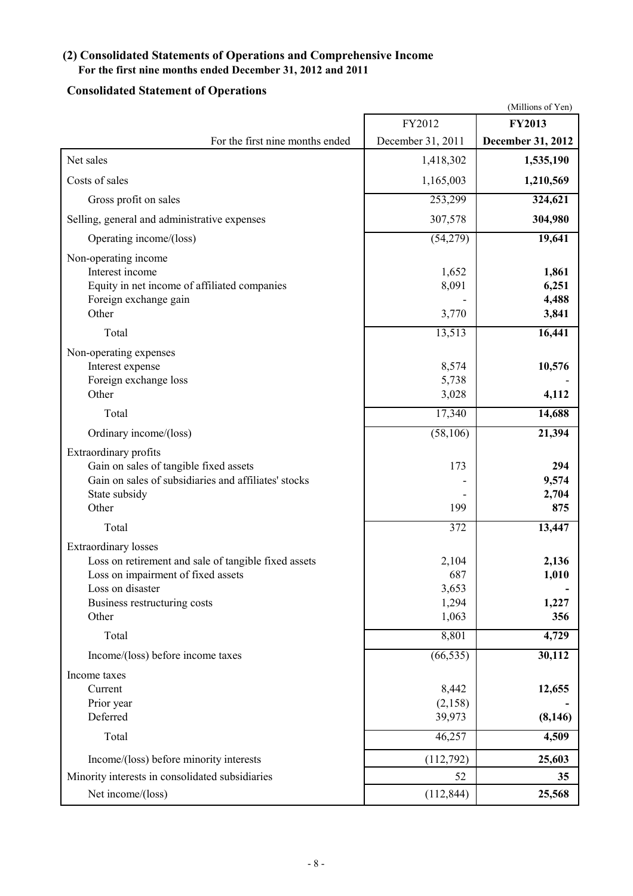# **(2) Consolidated Statements of Operations and Comprehensive Income**

## **For the first nine months ended December 31, 2012 and 2011**

## **Consolidated Statement of Operations**

|                                                                                                                                                                                        |                                         | (Millions of Yen)                |
|----------------------------------------------------------------------------------------------------------------------------------------------------------------------------------------|-----------------------------------------|----------------------------------|
|                                                                                                                                                                                        | FY2012                                  | <b>FY2013</b>                    |
| For the first nine months ended                                                                                                                                                        | December 31, 2011                       | December 31, 2012                |
| Net sales                                                                                                                                                                              | 1,418,302                               | 1,535,190                        |
| Costs of sales                                                                                                                                                                         | 1,165,003                               | 1,210,569                        |
| Gross profit on sales                                                                                                                                                                  | 253,299                                 | 324,621                          |
| Selling, general and administrative expenses                                                                                                                                           | 307,578                                 | 304,980                          |
| Operating income/(loss)                                                                                                                                                                | (54,279)                                | 19,641                           |
| Non-operating income<br>Interest income<br>Equity in net income of affiliated companies<br>Foreign exchange gain<br>Other                                                              | 1,652<br>8,091<br>3,770                 | 1,861<br>6,251<br>4,488<br>3,841 |
| Total                                                                                                                                                                                  | 13,513                                  | 16,441                           |
| Non-operating expenses<br>Interest expense<br>Foreign exchange loss<br>Other                                                                                                           | 8,574<br>5,738<br>3,028                 | 10,576<br>4,112                  |
| Total                                                                                                                                                                                  | 17,340                                  | 14,688                           |
| Ordinary income/(loss)                                                                                                                                                                 | (58, 106)                               | 21,394                           |
| Extraordinary profits<br>Gain on sales of tangible fixed assets<br>Gain on sales of subsidiaries and affiliates' stocks<br>State subsidy<br>Other                                      | 173<br>199                              | 294<br>9,574<br>2,704<br>875     |
| Total                                                                                                                                                                                  | 372                                     | 13,447                           |
| <b>Extraordinary losses</b><br>Loss on retirement and sale of tangible fixed assets<br>Loss on impairment of fixed assets<br>Loss on disaster<br>Business restructuring costs<br>Other | 2,104<br>687<br>3,653<br>1,294<br>1,063 | 2,136<br>1,010<br>1,227<br>356   |
| Total                                                                                                                                                                                  | 8,801                                   | 4,729                            |
| Income/(loss) before income taxes                                                                                                                                                      | (66, 535)                               | 30,112                           |
| Income taxes<br>Current<br>Prior year<br>Deferred                                                                                                                                      | 8,442<br>(2,158)<br>39,973              | 12,655<br>(8, 146)               |
| Total                                                                                                                                                                                  | 46,257                                  | 4,509                            |
| Income/(loss) before minority interests                                                                                                                                                | (112,792)                               | 25,603                           |
| Minority interests in consolidated subsidiaries                                                                                                                                        | 52                                      | 35                               |
| Net income/(loss)                                                                                                                                                                      | (112, 844)                              | 25,568                           |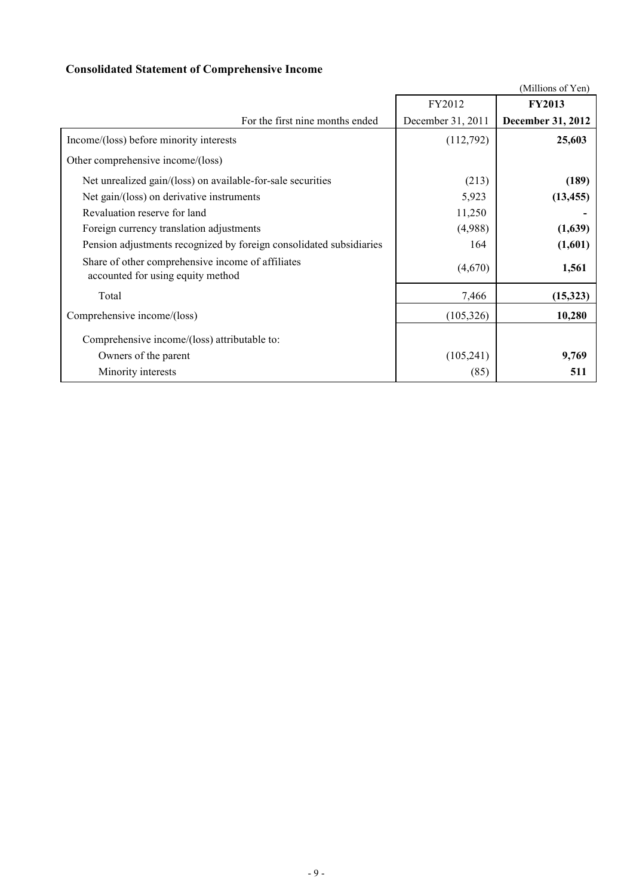## **Consolidated Statement of Comprehensive Income**

|                                                                                        |                   | (Millions of Yen)        |
|----------------------------------------------------------------------------------------|-------------------|--------------------------|
|                                                                                        | FY2012            | <b>FY2013</b>            |
| For the first nine months ended                                                        | December 31, 2011 | <b>December 31, 2012</b> |
| Income/(loss) before minority interests                                                | (112,792)         | 25,603                   |
| Other comprehensive income/(loss)                                                      |                   |                          |
| Net unrealized gain/(loss) on available-for-sale securities                            | (213)             | (189)                    |
| Net gain/(loss) on derivative instruments                                              | 5,923             | (13, 455)                |
| Revaluation reserve for land                                                           | 11,250            |                          |
| Foreign currency translation adjustments                                               | (4,988)           | (1,639)                  |
| Pension adjustments recognized by foreign consolidated subsidiaries                    | 164               | (1,601)                  |
| Share of other comprehensive income of affiliates<br>accounted for using equity method | (4,670)           | 1,561                    |
| Total                                                                                  | 7,466             | (15,323)                 |
| Comprehensive income/(loss)                                                            | (105, 326)        | 10,280                   |
| Comprehensive income/(loss) attributable to:                                           |                   |                          |
| Owners of the parent                                                                   | (105, 241)        | 9,769                    |
| Minority interests                                                                     | (85)              | 511                      |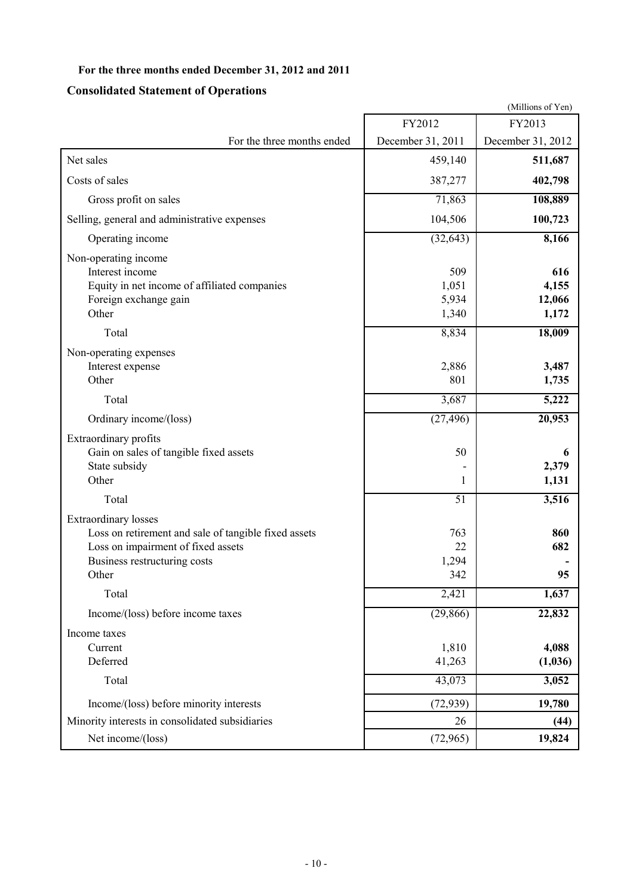## **For the three months ended December 31, 2012 and 2011**

## **Consolidated Statement of Operations**

|                                                                                                                                                             |                                | (Millions of Yen)               |
|-------------------------------------------------------------------------------------------------------------------------------------------------------------|--------------------------------|---------------------------------|
|                                                                                                                                                             | FY2012                         | FY2013                          |
| For the three months ended                                                                                                                                  | December 31, 2011              | December 31, 2012               |
| Net sales                                                                                                                                                   | 459,140                        | 511,687                         |
| Costs of sales                                                                                                                                              | 387,277                        | 402,798                         |
| Gross profit on sales                                                                                                                                       | 71,863                         | 108,889                         |
| Selling, general and administrative expenses                                                                                                                | 104,506                        | 100,723                         |
| Operating income                                                                                                                                            | (32, 643)                      | 8,166                           |
| Non-operating income<br>Interest income<br>Equity in net income of affiliated companies<br>Foreign exchange gain<br>Other                                   | 509<br>1,051<br>5,934<br>1,340 | 616<br>4,155<br>12,066<br>1,172 |
| Total                                                                                                                                                       | 8,834                          | 18,009                          |
| Non-operating expenses<br>Interest expense<br>Other                                                                                                         | 2,886<br>801                   | 3,487<br>1,735                  |
| Total                                                                                                                                                       | 3,687                          | 5,222                           |
| Ordinary income/(loss)                                                                                                                                      | (27, 496)                      | 20,953                          |
| Extraordinary profits<br>Gain on sales of tangible fixed assets<br>State subsidy<br>Other                                                                   | 50<br>1                        | 6<br>2,379<br>1,131             |
| Total                                                                                                                                                       | 51                             | 3,516                           |
| Extraordinary losses<br>Loss on retirement and sale of tangible fixed assets<br>Loss on impairment of fixed assets<br>Business restructuring costs<br>Other | 763<br>22<br>1,294<br>342      | 860<br>682<br>95                |
| Total                                                                                                                                                       | $\overline{2,}421$             | 1,637                           |
| Income/(loss) before income taxes                                                                                                                           | (29, 866)                      | 22,832                          |
| Income taxes<br>Current<br>Deferred<br>Total                                                                                                                | 1,810<br>41,263<br>43,073      | 4,088<br>(1,036)<br>3,052       |
| Income/(loss) before minority interests                                                                                                                     | (72, 939)                      | 19,780                          |
| Minority interests in consolidated subsidiaries                                                                                                             | 26                             | (44)                            |
| Net income/(loss)                                                                                                                                           | (72, 965)                      | 19,824                          |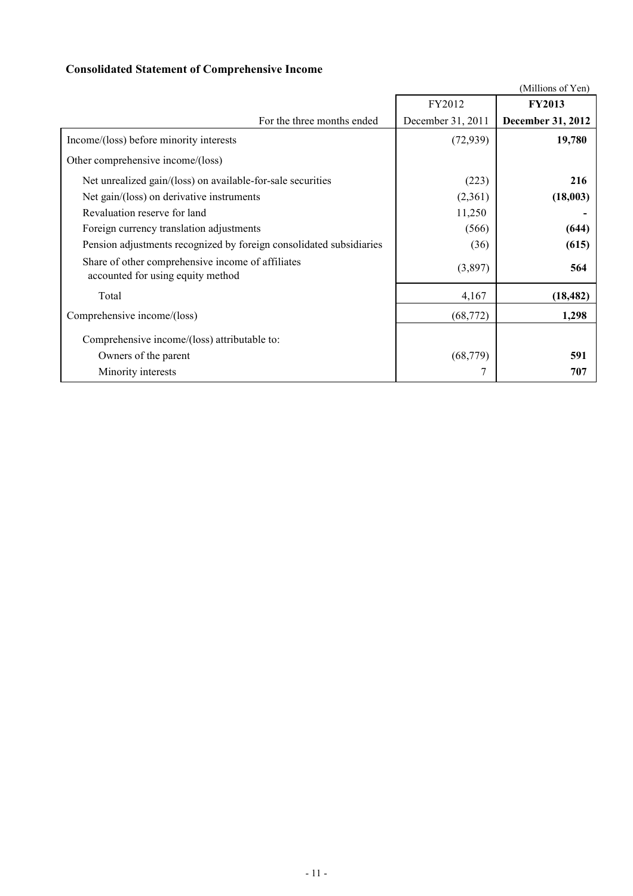## **Consolidated Statement of Comprehensive Income**

|                                                                                        |                   | (Millions of Yen)        |
|----------------------------------------------------------------------------------------|-------------------|--------------------------|
|                                                                                        | FY2012            | <b>FY2013</b>            |
| For the three months ended                                                             | December 31, 2011 | <b>December 31, 2012</b> |
| Income/(loss) before minority interests                                                | (72, 939)         | 19,780                   |
| Other comprehensive income/(loss)                                                      |                   |                          |
| Net unrealized gain/(loss) on available-for-sale securities                            | (223)             | 216                      |
| Net gain/(loss) on derivative instruments                                              | (2,361)           | (18,003)                 |
| Revaluation reserve for land                                                           | 11,250            |                          |
| Foreign currency translation adjustments                                               | (566)             | (644)                    |
| Pension adjustments recognized by foreign consolidated subsidiaries                    | (36)              | (615)                    |
| Share of other comprehensive income of affiliates<br>accounted for using equity method | (3,897)           | 564                      |
| Total                                                                                  | 4,167             | (18, 482)                |
| Comprehensive income/(loss)                                                            | (68, 772)         | 1,298                    |
| Comprehensive income/(loss) attributable to:                                           |                   |                          |
| Owners of the parent                                                                   | (68, 779)         | 591                      |
| Minority interests                                                                     |                   | 707                      |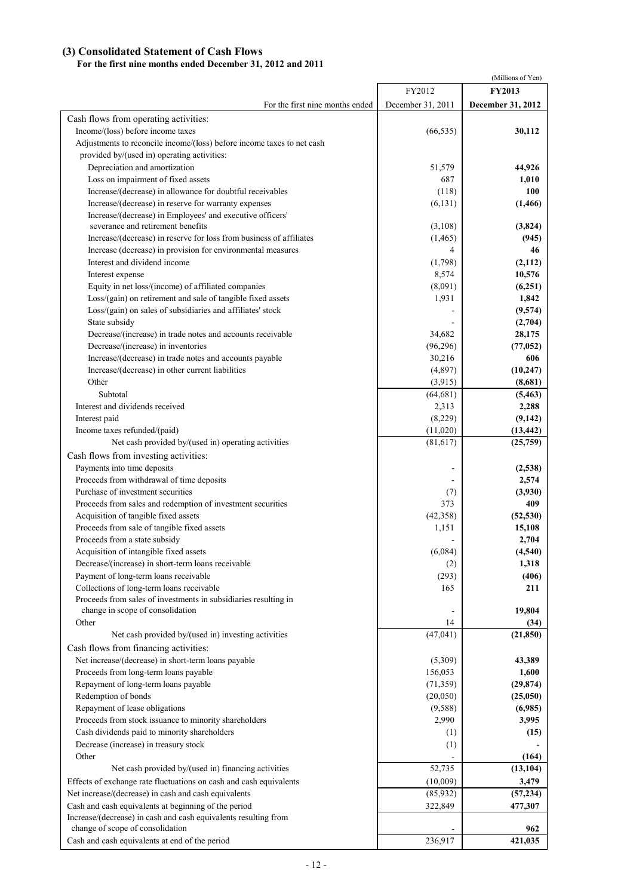### **(3) Consolidated Statement of Cash Flows**

### **For the first nine months ended December 31, 2012 and 2011**

|                                                                                     |                       | (Millions of Yen)     |
|-------------------------------------------------------------------------------------|-----------------------|-----------------------|
|                                                                                     | FY2012                | <b>FY2013</b>         |
| For the first nine months ended                                                     | December 31, 2011     | December 31, 2012     |
| Cash flows from operating activities:                                               |                       |                       |
| Income/(loss) before income taxes                                                   | (66, 535)             | 30,112                |
| Adjustments to reconcile income/(loss) before income taxes to net cash              |                       |                       |
| provided by/(used in) operating activities:                                         |                       |                       |
| Depreciation and amortization                                                       | 51,579                | 44,926                |
| Loss on impairment of fixed assets                                                  | 687                   | 1,010                 |
| Increase/(decrease) in allowance for doubtful receivables                           | (118)                 | 100                   |
| Increase/(decrease) in reserve for warranty expenses                                | (6, 131)              | (1, 466)              |
| Increase/(decrease) in Employees' and executive officers'                           |                       |                       |
| severance and retirement benefits                                                   | (3,108)               | (3, 824)              |
| Increase/(decrease) in reserve for loss from business of affiliates                 | (1, 465)              | (945)                 |
| Increase (decrease) in provision for environmental measures                         | 4                     | 46                    |
| Interest and dividend income                                                        | (1,798)               | (2,112)               |
| Interest expense                                                                    | 8,574                 | 10,576                |
| Equity in net loss/(income) of affiliated companies                                 | (8,091)               | (6,251)               |
| Loss/(gain) on retirement and sale of tangible fixed assets                         | 1,931                 | 1,842                 |
| Loss/(gain) on sales of subsidiaries and affiliates' stock                          |                       | (9,574)               |
| State subsidy                                                                       |                       | (2,704)               |
| Decrease/(increase) in trade notes and accounts receivable                          | 34,682                | 28,175                |
| Decrease/(increase) in inventories                                                  | (96,296)              | (77, 052)             |
| Increase/(decrease) in trade notes and accounts payable                             | 30,216                | 606                   |
| Increase/(decrease) in other current liabilities                                    | (4,897)               | (10, 247)             |
| Other                                                                               | (3,915)               | (8,681)               |
| Subtotal<br>Interest and dividends received                                         | (64, 681)             | (5, 463)              |
|                                                                                     | 2,313                 | 2,288                 |
| Interest paid                                                                       | (8,229)               | (9, 142)              |
| Income taxes refunded/(paid)<br>Net cash provided by/(used in) operating activities | (11,020)<br>(81, 617) | (13, 442)<br>(25,759) |
|                                                                                     |                       |                       |
| Cash flows from investing activities:                                               |                       |                       |
| Payments into time deposits<br>Proceeds from withdrawal of time deposits            | $\overline{a}$        | (2,538)               |
| Purchase of investment securities                                                   |                       | 2,574<br>(3,930)      |
| Proceeds from sales and redemption of investment securities                         | (7)<br>373            | 409                   |
| Acquisition of tangible fixed assets                                                | (42,358)              | (52, 530)             |
| Proceeds from sale of tangible fixed assets                                         | 1,151                 | 15,108                |
| Proceeds from a state subsidy                                                       |                       | 2,704                 |
| Acquisition of intangible fixed assets                                              | (6,084)               | (4,540)               |
| Decrease/(increase) in short-term loans receivable                                  | (2)                   | 1,318                 |
| Payment of long-term loans receivable                                               | (293)                 | (406)                 |
| Collections of long-term loans receivable                                           | 165                   | 211                   |
| Proceeds from sales of investments in subsidiaries resulting in                     |                       |                       |
| change in scope of consolidation                                                    |                       | 19,804                |
| Other                                                                               | 14                    | (34)                  |
| Net cash provided by/(used in) investing activities                                 | (47, 041)             | (21, 850)             |
| Cash flows from financing activities:                                               |                       |                       |
| Net increase/(decrease) in short-term loans payable                                 | (5,309)               | 43,389                |
| Proceeds from long-term loans payable                                               | 156,053               | 1,600                 |
| Repayment of long-term loans payable                                                | (71, 359)             | (29, 874)             |
| Redemption of bonds                                                                 | (20,050)              | (25,050)              |
| Repayment of lease obligations                                                      | (9,588)               | (6,985)               |
| Proceeds from stock issuance to minority shareholders                               | 2,990                 | 3,995                 |
| Cash dividends paid to minority shareholders                                        | (1)                   | (15)                  |
| Decrease (increase) in treasury stock                                               | (1)                   |                       |
| Other                                                                               |                       | (164)                 |
| Net cash provided by/(used in) financing activities                                 | 52,735                | (13, 104)             |
| Effects of exchange rate fluctuations on cash and cash equivalents                  | (10,009)              | 3,479                 |
| Net increase/(decrease) in cash and cash equivalents                                | (85,932)              | (57, 234)             |
| Cash and cash equivalents at beginning of the period                                | 322,849               | 477,307               |
| Increase/(decrease) in cash and cash equivalents resulting from                     |                       |                       |
| change of scope of consolidation                                                    |                       | 962                   |
| Cash and cash equivalents at end of the period                                      | 236,917               | 421,035               |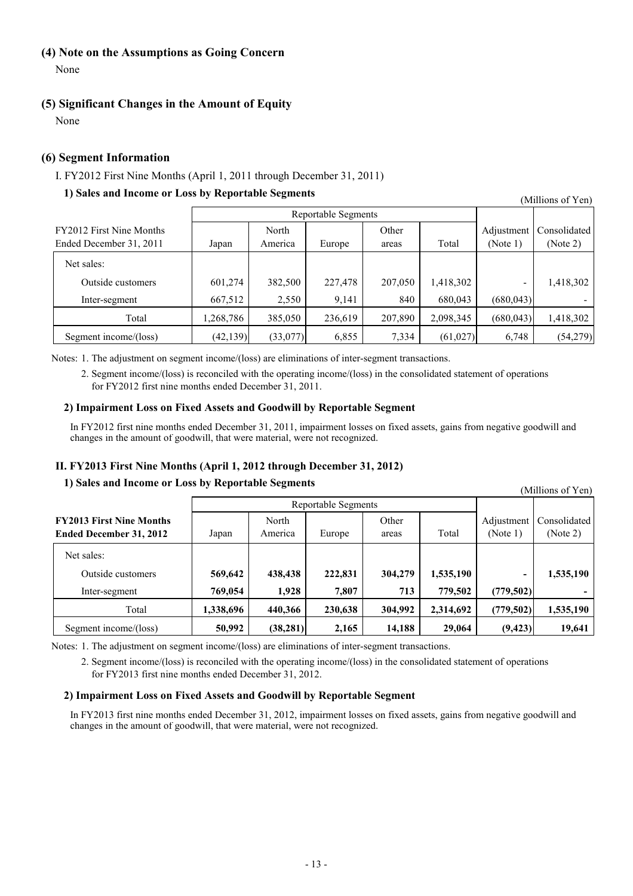### **(4) Note on the Assumptions as Going Concern**

None

### **(5) Significant Changes in the Amount of Equity**

None

### **(6) Segment Information**

### I. FY2012 First Nine Months (April 1, 2011 through December 31, 2011)

### **1) Sales and Income or Loss by Reportable Segments**

(Millions of Yen)

|                                                     |           | Reportable Segments                                   |         |                        |                          |            |           |
|-----------------------------------------------------|-----------|-------------------------------------------------------|---------|------------------------|--------------------------|------------|-----------|
| FY2012 First Nine Months<br>Ended December 31, 2011 | Japan     | Other<br>North<br>Total<br>Europe<br>America<br>areas |         | Adjustment<br>(Note 1) | Consolidated<br>(Note 2) |            |           |
| Net sales:                                          |           |                                                       |         |                        |                          |            |           |
| Outside customers                                   | 601,274   | 382,500                                               | 227,478 | 207,050                | 1,418,302                |            | 1,418,302 |
| Inter-segment                                       | 667,512   | 2,550                                                 | 9.141   | 840                    | 680,043                  | (680, 043) |           |
| Total                                               | ,268,786  | 385,050                                               | 236,619 | 207,890                | 2,098,345                | (680, 043) | 1,418,302 |
| Segment income/(loss)                               | (42, 139) | (33, 077)                                             | 6,855   | 7,334                  | (61, 027)                | 6,748      | (54,279)  |

Notes: 1. The adjustment on segment income/(loss) are eliminations of inter-segment transactions.

2. Segment income/(loss) is reconciled with the operating income/(loss) in the consolidated statement of operations for FY2012 first nine months ended December 31, 2011.

### **2) Impairment Loss on Fixed Assets and Goodwill by Reportable Segment**

In FY2012 first nine months ended December 31, 2011, impairment losses on fixed assets, gains from negative goodwill and changes in the amount of goodwill, that were material, were not recognized.

### **II. FY2013 First Nine Months (April 1, 2012 through December 31, 2012)**

### **1) Sales and Income or Loss by Reportable Segments**

Reportable Segments **FY2013 First Nine Months** North North Other **North Other Adjustment Consolidated Ended December 31, 2012** Japan America Europe areas Total (Note 1) (Note 2) Net sales: Outside customers **569,642 438,438 222,831 304,279 1,535,190 - 1,535,190** Inter-segment **769,054 1,928 7,807 713 779,502 (779,502) -** Total **1,338,696 440,366 230,638 304,992 2,314,692 (779,502) 1,535,190** Segment income/(loss) **50,992** (38,281) 2,165 14,188 29,064 (9,423) 19,641 (Millions of Yen)

Notes: 1. The adjustment on segment income/(loss) are eliminations of inter-segment transactions.

2. Segment income/(loss) is reconciled with the operating income/(loss) in the consolidated statement of operations for FY2013 first nine months ended December 31, 2012.

### **2) Impairment Loss on Fixed Assets and Goodwill by Reportable Segment**

In FY2013 first nine months ended December 31, 2012, impairment losses on fixed assets, gains from negative goodwill and changes in the amount of goodwill, that were material, were not recognized.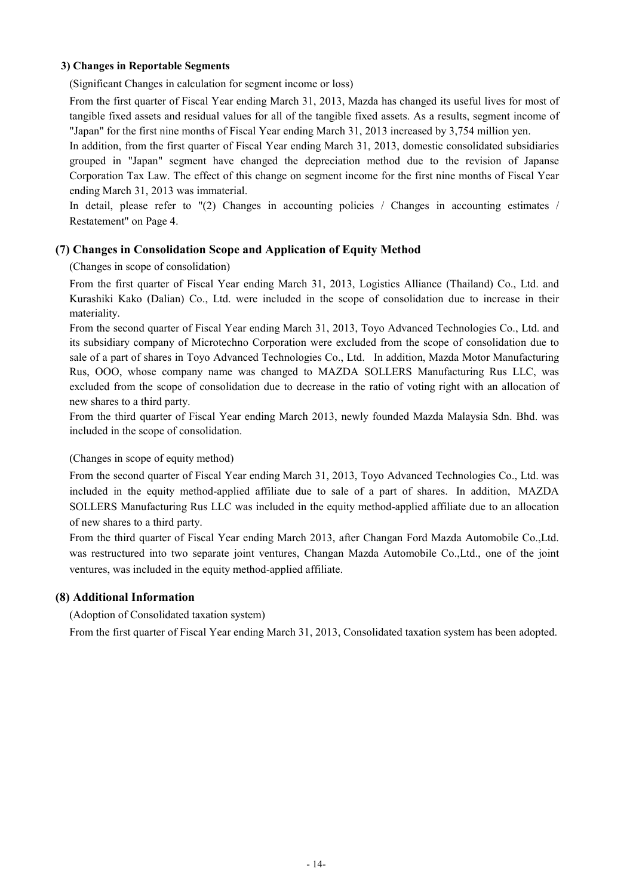### **3) Changes in Reportable Segments**

(Significant Changes in calculation for segment income or loss)

From the first quarter of Fiscal Year ending March 31, 2013, Mazda has changed its useful lives for most of tangible fixed assets and residual values for all of the tangible fixed assets. As a results, segment income of "Japan" for the first nine months of Fiscal Year ending March 31, 2013 increased by 3,754 million yen.

In addition, from the first quarter of Fiscal Year ending March 31, 2013, domestic consolidated subsidiaries grouped in "Japan" segment have changed the depreciation method due to the revision of Japanse Corporation Tax Law. The effect of this change on segment income for the first nine months of Fiscal Year ending March 31, 2013 was immaterial.

In detail, please refer to "(2) Changes in accounting policies / Changes in accounting estimates / Restatement" on Page 4.

### **(7) Changes in Consolidation Scope and Application of Equity Method**

(Changes in scope of consolidation)

From the first quarter of Fiscal Year ending March 31, 2013, Logistics Alliance (Thailand) Co., Ltd. and Kurashiki Kako (Dalian) Co., Ltd. were included in the scope of consolidation due to increase in their materiality.

From the second quarter of Fiscal Year ending March 31, 2013, Toyo Advanced Technologies Co., Ltd. and its subsidiary company of Microtechno Corporation were excluded from the scope of consolidation due to sale of a part of shares in Toyo Advanced Technologies Co., Ltd. In addition, Mazda Motor Manufacturing Rus, OOO, whose company name was changed to MAZDA SOLLERS Manufacturing Rus LLC, was excluded from the scope of consolidation due to decrease in the ratio of voting right with an allocation of new shares to a third party.

From the third quarter of Fiscal Year ending March 2013, newly founded Mazda Malaysia Sdn. Bhd. was included in the scope of consolidation.

(Changes in scope of equity method)

From the second quarter of Fiscal Year ending March 31, 2013, Toyo Advanced Technologies Co., Ltd. was included in the equity method-applied affiliate due to sale of a part of shares. In addition, MAZDA SOLLERS Manufacturing Rus LLC was included in the equity method-applied affiliate due to an allocation of new shares to a third party.

From the third quarter of Fiscal Year ending March 2013, after Changan Ford Mazda Automobile Co.,Ltd. was restructured into two separate joint ventures, Changan Mazda Automobile Co.,Ltd., one of the joint ventures, was included in the equity method-applied affiliate.

### **(8) Additional Information**

(Adoption of Consolidated taxation system)

From the first quarter of Fiscal Year ending March 31, 2013, Consolidated taxation system has been adopted.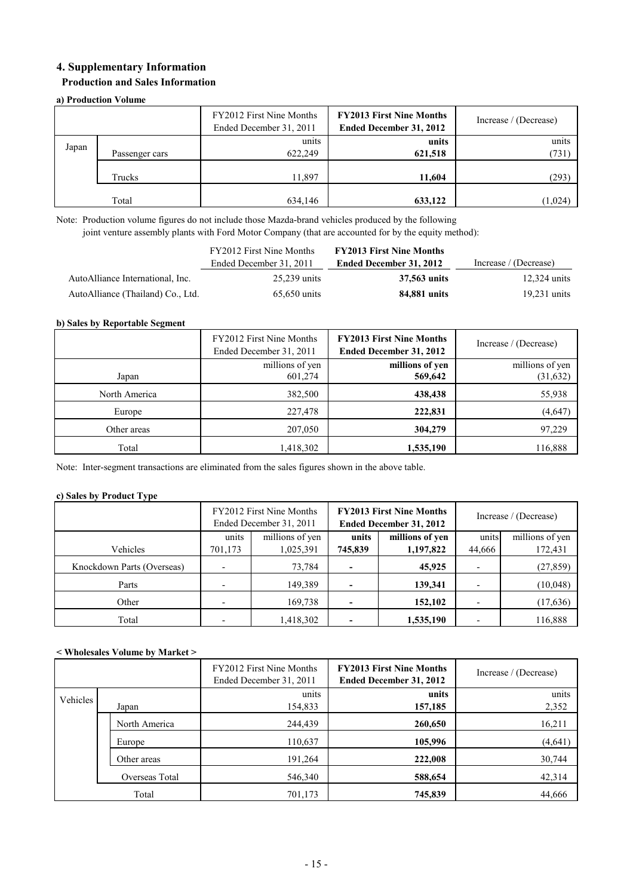### **4. Supplementary Information**

### **Production and Sales Information**

### **a) Production Volume**

|       |                | FY2012 First Nine Months<br>Ended December 31, 2011 | <b>FY2013 First Nine Months</b><br>Ended December 31, 2012 | Increase / (Decrease) |
|-------|----------------|-----------------------------------------------------|------------------------------------------------------------|-----------------------|
| Japan | Passenger cars | units<br>622,249                                    | units<br>621,518                                           | units<br>(731)        |
|       | Trucks         | 11,897                                              | 11,604                                                     | (293)                 |
|       | Total          | 634,146                                             | 633,122                                                    | (1,024)               |

Note: Production volume figures do not include those Mazda-brand vehicles produced by the following joint venture assembly plants with Ford Motor Company (that are accounted for by the equity method):

|                                   | FY2012 First Nine Months | <b>FY2013 First Nine Months</b> |                       |
|-----------------------------------|--------------------------|---------------------------------|-----------------------|
|                                   | Ended December 31, 2011  | Ended December 31, 2012         | Increase / (Decrease) |
| AutoAlliance International, Inc.  | 25,239 units             | 37,563 units                    | $12,324$ units        |
| AutoAlliance (Thailand) Co., Ltd. | 65,650 units             | 84,881 units                    | $19.231$ units        |

### **b) Sales by Reportable Segment**

|               | FY2012 First Nine Months<br>Ended December 31, 2011 | <b>FY2013 First Nine Months</b><br><b>Ended December 31, 2012</b> | Increase / (Decrease) |
|---------------|-----------------------------------------------------|-------------------------------------------------------------------|-----------------------|
|               | millions of yen                                     | millions of yen                                                   | millions of yen       |
| Japan         | 601,274                                             | 569,642                                                           | (31,632)              |
| North America | 382,500                                             | 438,438                                                           | 55,938                |
| Europe        | 227,478                                             | 222,831                                                           | (4,647)               |
| Other areas   | 207,050                                             | 304,279                                                           | 97,229                |
| Total         | .418,302                                            | 1,535,190                                                         | 116,888               |

Note: Inter-segment transactions are eliminated from the sales figures shown in the above table.

#### **c) Sales by Product Type**

|                            |                      | FY2012 First Nine Months<br>Ended December 31, 2011 |                      | <b>FY2013 First Nine Months</b><br>Ended December 31, 2012 | Increase / (Decrease) |                 |  |
|----------------------------|----------------------|-----------------------------------------------------|----------------------|------------------------------------------------------------|-----------------------|-----------------|--|
|                            | units                | millions of yen                                     | units                | millions of yen                                            | units                 | millions of yen |  |
| Vehicles                   | 1,025,391<br>701,173 |                                                     | 1,197,822<br>745,839 |                                                            | 44,666                | 172,431         |  |
| Knockdown Parts (Overseas) |                      | 73,784                                              |                      | 45,925                                                     |                       | (27, 859)       |  |
| Parts                      |                      | 149,389                                             |                      | 139,341                                                    |                       | (10,048)        |  |
| Other                      |                      | 169,738                                             |                      | 152,102                                                    |                       | (17, 636)       |  |
| Total                      |                      | 1,418,302                                           |                      | 1,535,190                                                  |                       | 116,888         |  |

#### **< Wholesales Volume by Market >**

|          |                | FY2012 First Nine Months<br>Ended December 31, 2011 | <b>FY2013 First Nine Months</b><br><b>Ended December 31, 2012</b> | Increase / (Decrease) |
|----------|----------------|-----------------------------------------------------|-------------------------------------------------------------------|-----------------------|
| Vehicles | Japan          | units<br>154,833                                    | units<br>157,185                                                  | units<br>2,352        |
|          | North America  | 244,439                                             | 260,650                                                           | 16,211                |
|          | Europe         | 110,637                                             | 105,996                                                           | (4, 641)              |
|          | Other areas    | 191,264                                             | 222,008                                                           | 30,744                |
|          | Overseas Total | 546,340                                             | 588,654                                                           | 42,314                |
| Total    |                | 701,173                                             | 745,839                                                           | 44,666                |